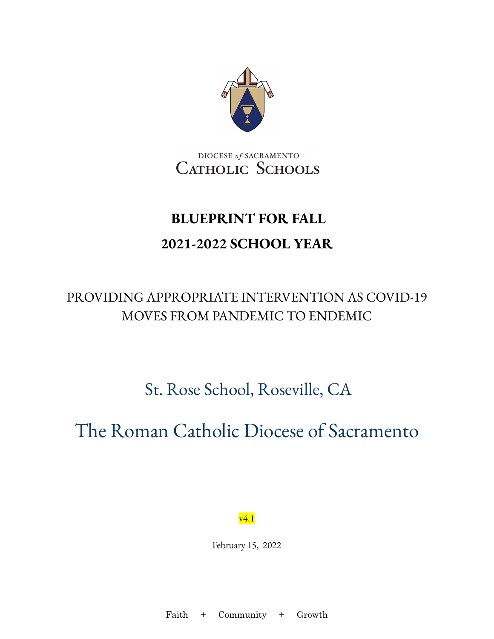

DIOCESE of SACRAMENTO CATHOLIC SCHOOLS

# **BLUEPRINT FOR FALL 2021-2022 SCHOOL YEAR**

### PROVIDING APPROPRIATE INTERVENTION AS COVID-19 MOVES FROM PANDEMIC TO ENDEMIC

St. Rose School, Roseville, CA

# The Roman Catholic Diocese of Sacramento

v4.1

February 15, 2022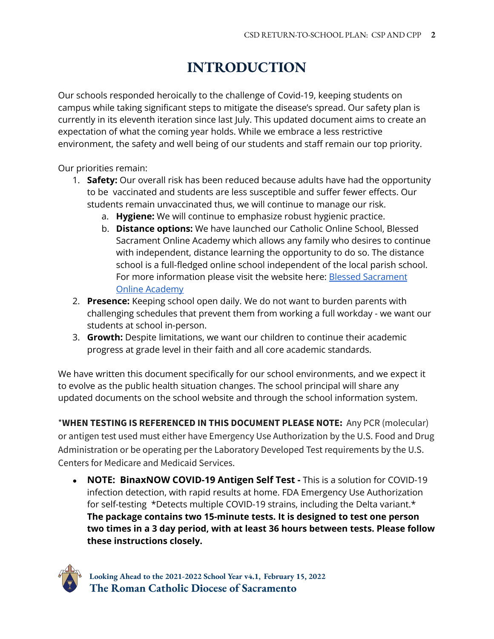### **INTRODUCTION**

<span id="page-1-0"></span>Our schools responded heroically to the challenge of Covid-19, keeping students on campus while taking significant steps to mitigate the disease's spread. Our safety plan is currently in its eleventh iteration since last July. This updated document aims to create an expectation of what the coming year holds. While we embrace a less restrictive environment, the safety and well being of our students and staff remain our top priority.

Our priorities remain:

- 1. **Safety:** Our overall risk has been reduced because adults have had the opportunity to be vaccinated and students are less susceptible and suffer fewer effects. Our students remain unvaccinated thus, we will continue to manage our risk.
	- a. **Hygiene:** We will continue to emphasize robust hygienic practice.
	- b. **Distance options:** We have launched our Catholic Online School, Blessed Sacrament Online Academy which allows any family who desires to continue with independent, distance learning the opportunity to do so. The distance school is a full-fledged online school independent of the local parish school. For more information please visit the website here: Blessed [Sacrament](https://www.scd.org/schools/online) Online [Academy](https://www.scd.org/schools/online)
- 2. **Presence:** Keeping school open daily. We do not want to burden parents with challenging schedules that prevent them from working a full workday - we want our students at school in-person.
- 3. **Growth:** Despite limitations, we want our children to continue their academic progress at grade level in their faith and all core academic standards.

We have written this document specifically for our school environments, and we expect it to evolve as the public health situation changes. The school principal will share any updated documents on the school website and through the school information system.

\***WHEN TESTING IS REFERENCED IN THIS DOCUMENT PLEASE NOTE:** Any PCR (molecular) or antigen test used must either have Emergency Use Authorization by the U.S. Food and Drug Administration or be operating per the Laboratory Developed Test requirements by the U.S. Centers for Medicare and Medicaid Services.

● **NOTE: BinaxNOW COVID-19 Antigen Self Test -** This is a solution for COVID-19 infection detection, with rapid results at home. FDA Emergency Use Authorization for self-testing \*Detects multiple COVID-19 strains, including the Delta variant.\* **The package contains two 15-minute tests. It is designed to test one person two times in a 3 day period, with at least 36 hours between tests. Please follow these instructions closely.**

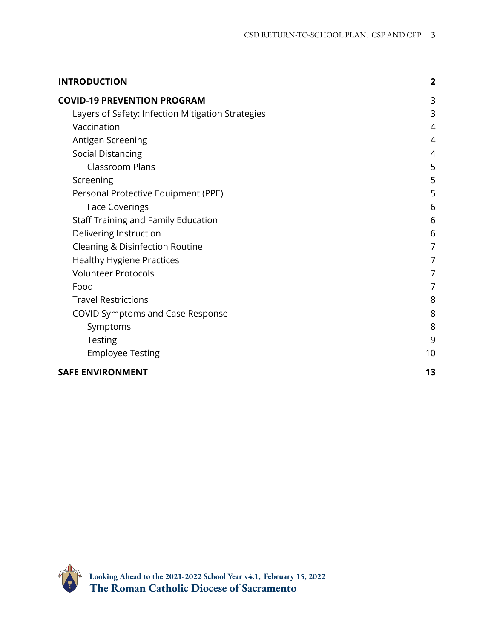| <b>INTRODUCTION</b>                               | $\overline{2}$ |
|---------------------------------------------------|----------------|
| <b>COVID-19 PREVENTION PROGRAM</b>                | 3              |
| Layers of Safety: Infection Mitigation Strategies | 3              |
| Vaccination                                       | 4              |
| Antigen Screening                                 | 4              |
| <b>Social Distancing</b>                          | 4              |
| <b>Classroom Plans</b>                            | 5              |
| Screening                                         | 5              |
| Personal Protective Equipment (PPE)               | 5              |
| <b>Face Coverings</b>                             | 6              |
| Staff Training and Family Education               | 6              |
| Delivering Instruction                            | 6              |
| Cleaning & Disinfection Routine                   | 7              |
| <b>Healthy Hygiene Practices</b>                  | 7              |
| <b>Volunteer Protocols</b>                        | 7              |
| Food                                              | 7              |
| <b>Travel Restrictions</b>                        | 8              |
| <b>COVID Symptoms and Case Response</b>           | 8              |
| Symptoms                                          | 8              |
| <b>Testing</b>                                    | 9              |
| <b>Employee Testing</b>                           | 10             |
| <b>SAFE ENVIRONMENT</b>                           | 13             |

<span id="page-2-0"></span>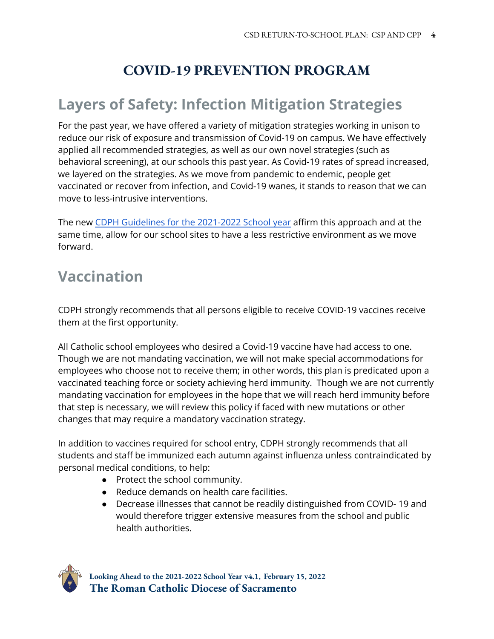### **COVID-19 PREVENTION PROGRAM**

### <span id="page-3-0"></span>**Layers of Safety: Infection Mitigation Strategies**

For the past year, we have offered a variety of mitigation strategies working in unison to reduce our risk of exposure and transmission of Covid-19 on campus. We have effectively applied all recommended strategies, as well as our own novel strategies (such as behavioral screening), at our schools this past year. As Covid-19 rates of spread increased, we layered on the strategies. As we move from pandemic to endemic, people get vaccinated or recover from infection, and Covid-19 wanes, it stands to reason that we can move to less-intrusive interventions.

The new CDPH [Guidelines](https://www.cdph.ca.gov/Programs/CID/DCDC/Pages/COVID-19/K-12-Guidance-2021-22-School-Year.aspx) for the 2021-2022 School year affirm this approach and at the same time, allow for our school sites to have a less restrictive environment as we move forward.

### <span id="page-3-1"></span>**Vaccination**

CDPH strongly recommends that all persons eligible to receive COVID-19 vaccines receive them at the first opportunity.

All Catholic school employees who desired a Covid-19 vaccine have had access to one. Though we are not mandating vaccination, we will not make special accommodations for employees who choose not to receive them; in other words, this plan is predicated upon a vaccinated teaching force or society achieving herd immunity. Though we are not currently mandating vaccination for employees in the hope that we will reach herd immunity before that step is necessary, we will review this policy if faced with new mutations or other changes that may require a mandatory vaccination strategy.

In addition to vaccines required for school entry, CDPH strongly recommends that all students and staff be immunized each autumn against influenza unless contraindicated by personal medical conditions, to help:

- Protect the school community.
- Reduce demands on health care facilities.
- Decrease illnesses that cannot be readily distinguished from COVID- 19 and would therefore trigger extensive measures from the school and public health authorities.

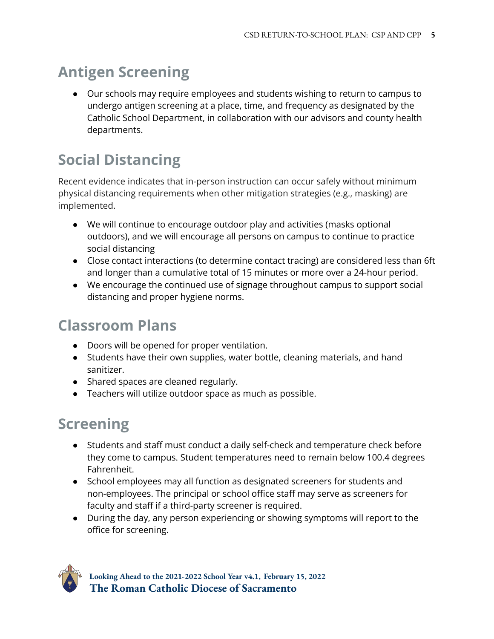## <span id="page-4-0"></span>**Antigen Screening**

● Our schools may require employees and students wishing to return to campus to undergo antigen screening at a place, time, and frequency as designated by the Catholic School Department, in collaboration with our advisors and county health departments.

# <span id="page-4-1"></span>**Social Distancing**

Recent evidence indicates that in-person instruction can occur safely without minimum physical distancing requirements when other mitigation strategies (e.g., masking) are implemented.

- We will continue to encourage outdoor play and activities (masks optional outdoors), and we will encourage all persons on campus to continue to practice social distancing
- Close contact interactions (to determine contact tracing) are considered less than 6ft and longer than a cumulative total of 15 minutes or more over a 24-hour period.
- We encourage the continued use of signage throughout campus to support social distancing and proper hygiene norms.

### <span id="page-4-2"></span>**Classroom Plans**

- Doors will be opened for proper ventilation.
- Students have their own supplies, water bottle, cleaning materials, and hand sanitizer.
- Shared spaces are cleaned regularly.
- Teachers will utilize outdoor space as much as possible.

# <span id="page-4-3"></span>**Screening**

- Students and staff must conduct a daily self-check and temperature check before they come to campus. Student temperatures need to remain below 100.4 degrees Fahrenheit.
- School employees may all function as designated screeners for students and non-employees. The principal or school office staff may serve as screeners for faculty and staff if a third-party screener is required.
- During the day, any person experiencing or showing symptoms will report to the office for screening.

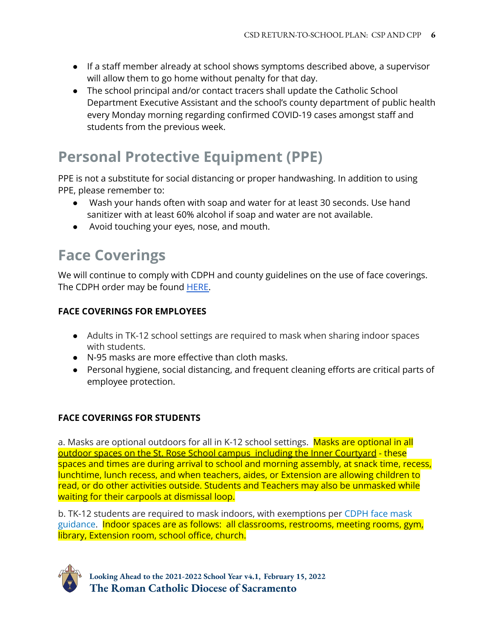- If a staff member already at school shows symptoms described above, a supervisor will allow them to go home without penalty for that day.
- The school principal and/or contact tracers shall update the Catholic School Department Executive Assistant and the school's county department of public health every Monday morning regarding confirmed COVID-19 cases amongst staff and students from the previous week.

## <span id="page-5-0"></span>**Personal Protective Equipment (PPE)**

PPE is not a substitute for social distancing or proper handwashing. In addition to using PPE, please remember to:

- Wash your hands often with soap and water for at least 30 seconds. Use hand sanitizer with at least 60% alcohol if soap and water are not available.
- Avoid touching your eyes, nose, and mouth.

### <span id="page-5-1"></span>**Face Coverings**

We will continue to comply with CDPH and county guidelines on the use of face coverings. The CDPH order may be found **HERE**.

#### **FACE COVERINGS FOR EMPLOYEES**

- Adults in TK-12 school settings are required to mask when sharing indoor spaces with students.
- N-95 masks are more effective than cloth masks.
- Personal hygiene, social distancing, and frequent cleaning efforts are critical parts of employee protection.

#### **FACE COVERINGS FOR STUDENTS**

a. Masks are optional outdoors for all in K-12 school settings. Masks are optional in all outdoor spaces on the St. Rose School campus including the Inner Courtyard - these spaces and times are during arrival to school and morning assembly, at snack time, recess, lunchtime, lunch recess, and when teachers, aides, or Extension are allowing children to read, or do other activities outside. Students and Teachers may also be unmasked while waiting for their carpools at dismissal loop.

b. TK-12 students are required to mask indoors, with exemptions per [CDPH](https://www.cdph.ca.gov/Programs/CID/DCDC/Pages/COVID-19/guidance-for-face-coverings.aspx) face mask [guidance](https://www.cdph.ca.gov/Programs/CID/DCDC/Pages/COVID-19/guidance-for-face-coverings.aspx). Indoor spaces are as follows: all classrooms, restrooms, meeting rooms, gym, library, Extension room, school office, church.

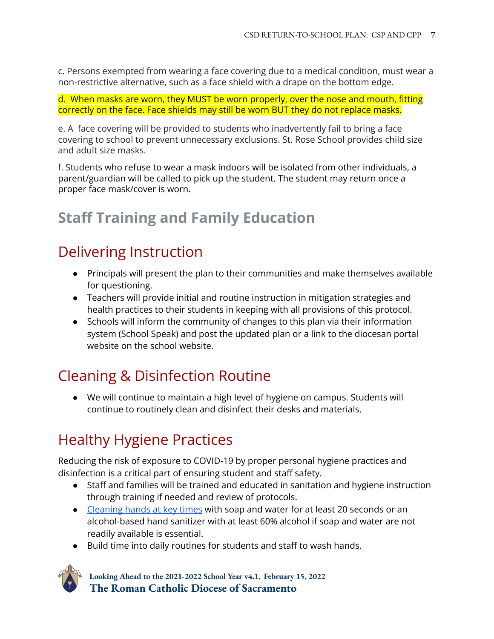c. Persons exempted from wearing a face covering due to a medical condition, must wear a non-restrictive alternative, such as a face shield with a drape on the bottom edge.

d. When masks are worn, they MUST be worn properly, over the nose and mouth, fitting correctly on the face. Face shields may still be worn BUT they do not replace masks.

e. A face covering will be provided to students who inadvertently fail to bring a face covering to school to prevent unnecessary exclusions. St. Rose School provides child size and adult size masks.

f. Students who refuse to wear a mask indoors will be isolated from other individuals, a parent/guardian will be called to pick up the student. The student may return once a proper face mask/cover is worn.

## <span id="page-6-0"></span>**Staff Training and Family Education**

## <span id="page-6-1"></span>Delivering Instruction

- Principals will present the plan to their communities and make themselves available for questioning.
- Teachers will provide initial and routine instruction in mitigation strategies and health practices to their students in keeping with all provisions of this protocol.
- Schools will inform the community of changes to this plan via their information system (School Speak) and post the updated plan or a link to the diocesan portal website on the school website.

# <span id="page-6-2"></span>Cleaning & Disinfection Routine

● We will continue to maintain a high level of hygiene on campus. Students will continue to routinely clean and disinfect their desks and materials.

# <span id="page-6-3"></span>Healthy Hygiene Practices

Reducing the risk of exposure to COVID-19 by proper personal hygiene practices and disinfection is a critical part of ensuring student and staff safety.

- Staff and families will be trained and educated in sanitation and hygiene instruction through training if needed and review of protocols.
- [Cleaning](https://www.cdc.gov/handwashing/when-how-handwashing.html) hands at key times with soap and water for at least 20 seconds or an alcohol-based hand sanitizer with at least 60% alcohol if soap and water are not readily available is essential.
- Build time into daily routines for students and staff to wash hands.

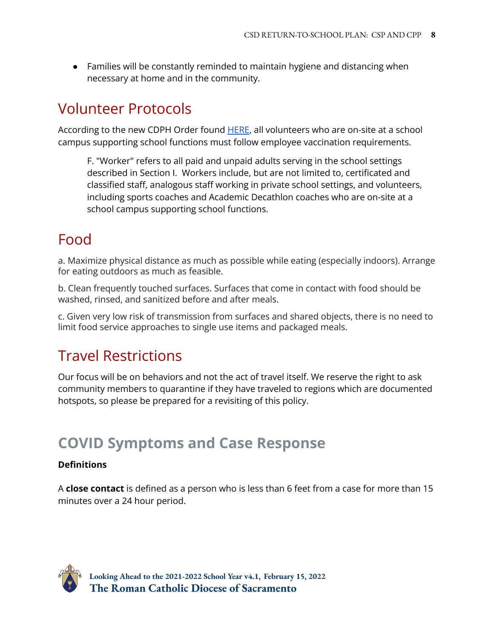● Families will be constantly reminded to maintain hygiene and distancing when necessary at home and in the community.

### Volunteer Protocols

According to the new CDPH Order found [HERE](https://www.cdph.ca.gov/Programs/CID/DCDC/Pages/COVID-19/Order-of-the-State-Public-Health-Officer-Vaccine-Verification-for-Workers-in-Schools.aspx), all volunteers who are on-site at a school campus supporting school functions must follow employee vaccination requirements.

F. "Worker" refers to all paid and unpaid adults serving in the school settings described in Section I. Workers include, but are not limited to, certificated and classified staff, analogous staff working in private school settings, and volunteers, including sports coaches and Academic Decathlon coaches who are on-site at a school campus supporting school functions.

## <span id="page-7-0"></span>Food

a. Maximize physical distance as much as possible while eating (especially indoors). Arrange for eating outdoors as much as feasible.

b. Clean frequently touched surfaces. Surfaces that come in contact with food should be washed, rinsed, and sanitized before and after meals.

c. Given very low risk of transmission from surfaces and shared objects, there is no need to limit food service approaches to single use items and packaged meals.

## <span id="page-7-1"></span>Travel Restrictions

Our focus will be on behaviors and not the act of travel itself. We reserve the right to ask community members to quarantine if they have traveled to regions which are documented hotspots, so please be prepared for a revisiting of this policy.

## <span id="page-7-2"></span>**COVID Symptoms and Case Response**

#### **Definitions**

A **close contact** is defined as a person who is less than 6 feet from a case for more than 15 minutes over a 24 hour period.

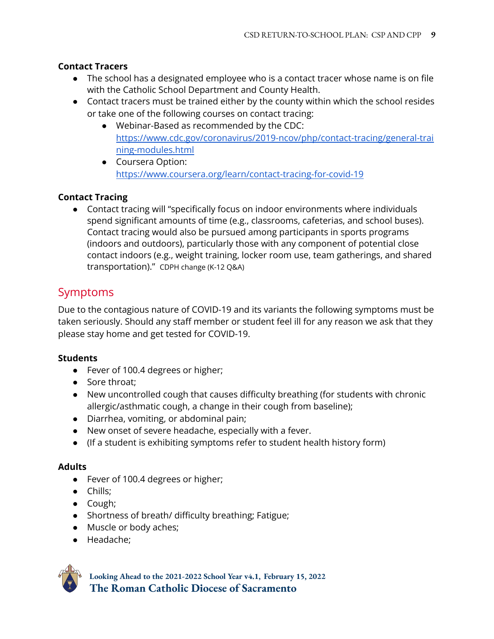#### **Contact Tracers**

- The school has a designated employee who is a contact tracer whose name is on file with the Catholic School Department and County Health.
- Contact tracers must be trained either by the county within which the school resides or take one of the following courses on contact tracing:
	- Webinar-Based as recommended by the CDC: [https://www.cdc.gov/coronavirus/2019-ncov/php/contact-tracing/general-trai](https://www.cdc.gov/coronavirus/2019-ncov/php/contact-tracing/general-training-modules.html) [ning-modules.html](https://www.cdc.gov/coronavirus/2019-ncov/php/contact-tracing/general-training-modules.html)
	- Coursera Option: <https://www.coursera.org/learn/contact-tracing-for-covid-19>

#### **Contact Tracing**

● Contact tracing will "specifically focus on indoor environments where individuals spend significant amounts of time (e.g., classrooms, cafeterias, and school buses). Contact tracing would also be pursued among participants in sports programs (indoors and outdoors), particularly those with any component of potential close contact indoors (e.g., weight training, locker room use, team gatherings, and shared transportation)." CDPH change (K-12 Q&A)

### <span id="page-8-0"></span>Symptoms

Due to the contagious nature of COVID-19 and its variants the following symptoms must be taken seriously. Should any staff member or student feel ill for any reason we ask that they please stay home and get tested for COVID-19.

#### **Students**

- Fever of 100.4 degrees or higher;
- Sore throat;
- New uncontrolled cough that causes difficulty breathing (for students with chronic allergic/asthmatic cough, a change in their cough from baseline);
- Diarrhea, vomiting, or abdominal pain;
- New onset of severe headache, especially with a fever.
- (If a student is exhibiting symptoms refer to student health history form)

#### **Adults**

- Fever of 100.4 degrees or higher;
- Chills;
- Cough;
- Shortness of breath/ difficulty breathing; Fatigue;
- Muscle or body aches;
- Headache;

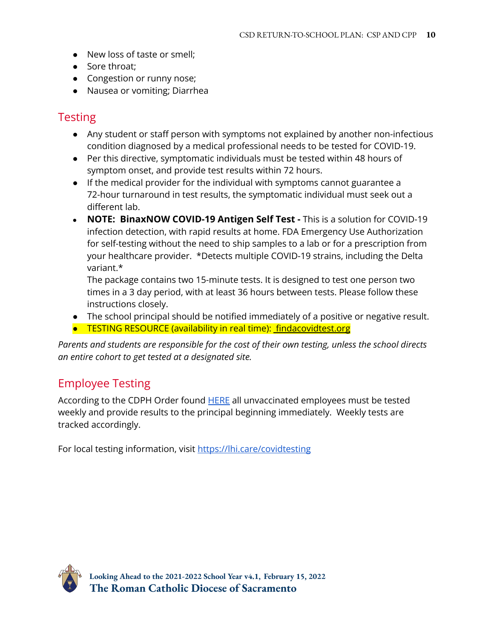- New loss of taste or smell;
- Sore throat;
- Congestion or runny nose;
- Nausea or vomiting; Diarrhea

### <span id="page-9-0"></span>**Testing**

- Any student or staff person with symptoms not explained by another non-infectious condition diagnosed by a medical professional needs to be tested for COVID-19.
- Per this directive, symptomatic individuals must be tested within 48 hours of symptom onset, and provide test results within 72 hours.
- If the medical provider for the individual with symptoms cannot guarantee a 72-hour turnaround in test results, the symptomatic individual must seek out a different lab.
- **NOTE: BinaxNOW COVID-19 Antigen Self Test -** This is a solution for COVID-19 infection detection, with rapid results at home. FDA Emergency Use Authorization for self-testing without the need to ship samples to a lab or for a prescription from your healthcare provider. \*Detects multiple COVID-19 strains, including the Delta variant.\*

The package contains two 15-minute tests. It is designed to test one person two times in a 3 day period, with at least 36 hours between tests. Please follow these instructions closely.

- The school principal should be notified immediately of a positive or negative result.
- TESTING RESOURCE (availability in real time): [findacovidtest.org](https://www.findacovidtest.org/)

*Parents and students are responsible for the cost of their own testing, unless the school directs an entire cohort to get tested at a designated site.*

### <span id="page-9-1"></span>Employee Testing

According to the CDPH Order found **[HERE](https://www.cdph.ca.gov/Programs/CID/DCDC/Pages/COVID-19/Order-of-the-State-Public-Health-Officer-Vaccine-Verification-for-Workers-in-Schools.aspx)** all unvaccinated employees must be tested weekly and provide results to the principal beginning immediately. Weekly tests are tracked accordingly.

For local testing information, visit <https://lhi.care/covidtesting>

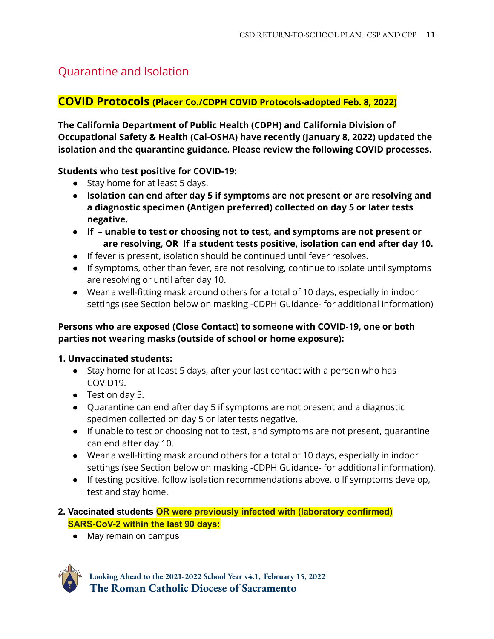### Quarantine and Isolation

#### **COVID Protocols (Placer Co./CDPH COVID Protocols-adopted Feb. 8, 2022)**

**The California Department of Public Health (CDPH) and California Division of Occupational Safety & Health (Cal-OSHA) have recently (January 8, 2022) updated the isolation and the quarantine guidance. Please review the following COVID processes.**

**Students who test positive for COVID-19:**

- Stay home for at least 5 days.
- **Isolation can end after day 5 if symptoms are not present or are resolving and a diagnostic specimen (Antigen preferred) collected on day 5 or later tests negative.**
- **● If – unable to test or choosing not to test, and symptoms are not present or are resolving, OR If a student tests positive, isolation can end after day 10.**
- If fever is present, isolation should be continued until fever resolves.
- If symptoms, other than fever, are not resolving, continue to isolate until symptoms are resolving or until after day 10.
- Wear a well-fitting mask around others for a total of 10 days, especially in indoor settings (see Section below on masking -CDPH Guidance- for additional information)

#### **Persons who are exposed (Close Contact) to someone with COVID-19, one or both parties not wearing masks (outside of school or home exposure):**

#### **1. Unvaccinated students:**

- Stay home for at least 5 days, after your last contact with a person who has COVID19.
- Test on day 5.
- Quarantine can end after day 5 if symptoms are not present and a diagnostic specimen collected on day 5 or later tests negative.
- If unable to test or choosing not to test, and symptoms are not present, quarantine can end after day 10.
- Wear a well-fitting mask around others for a total of 10 days, especially in indoor settings (see Section below on masking -CDPH Guidance- for additional information).
- If testing positive, follow isolation recommendations above. o If symptoms develop, test and stay home.

#### **2. Vaccinated students OR were previously infected with (laboratory confirmed) SARS-CoV-2 within the last 90 days:**

● May remain on campus

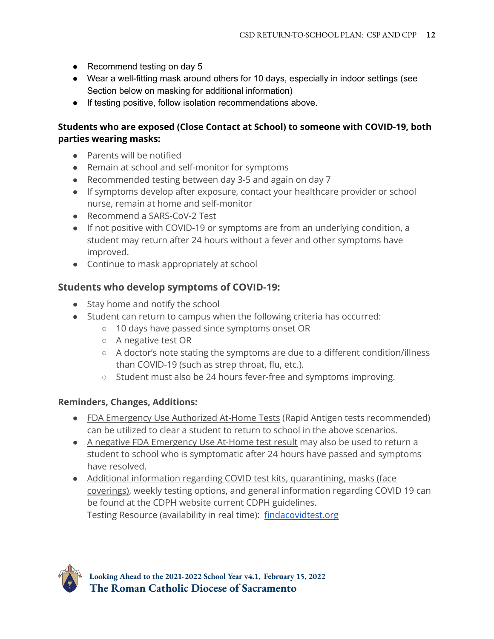- Recommend testing on day 5
- Wear a well-fitting mask around others for 10 days, especially in indoor settings (see Section below on masking for additional information)
- If testing positive, follow isolation recommendations above.

#### **Students who are exposed (Close Contact at School) to someone with COVID-19, both parties wearing masks:**

- Parents will be notified
- Remain at school and self-monitor for symptoms
- Recommended testing between day 3-5 and again on day 7
- If symptoms develop after exposure, contact your healthcare provider or school nurse, remain at home and self-monitor
- Recommend a SARS-CoV-2 Test
- If not positive with COVID-19 or symptoms are from an underlying condition, a student may return after 24 hours without a fever and other symptoms have improved.
- Continue to mask appropriately at school

#### **Students who develop symptoms of COVID-19:**

- Stay home and notify the school
- Student can return to campus when the following criteria has occurred:
	- 10 days have passed since symptoms onset OR
	- A negative test OR
	- A doctor's note stating the symptoms are due to a different condition/illness than COVID-19 (such as strep throat, flu, etc.).
	- Student must also be 24 hours fever-free and symptoms improving.

#### **Reminders, Changes, Additions:**

- FDA Emergency Use Authorized At-Home Tests (Rapid Antigen tests recommended) can be utilized to clear a student to return to school in the above scenarios.
- A negative FDA Emergency Use At-Home test result may also be used to return a student to school who is symptomatic after 24 hours have passed and symptoms have resolved.
- Additional information regarding COVID test kits, quarantining, masks (face coverings), weekly testing options, and general information regarding COVID 19 can be found at the CDPH website current CDPH guidelines. Testing Resource (availability in real time): [findacovidtest.org](https://www.findacovidtest.org/)

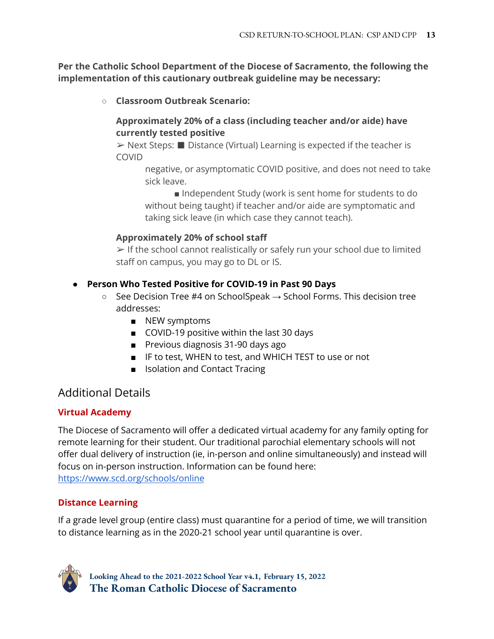**Per the Catholic School Department of the Diocese of Sacramento, the following the implementation of this cautionary outbreak guideline may be necessary:**

**○ Classroom Outbreak Scenario:**

#### **Approximately 20% of a class (including teacher and/or aide) have currently tested positive**

➢ Next Steps: ■ Distance (Virtual) Learning is expected if the teacher is COVID

negative, or asymptomatic COVID positive, and does not need to take sick leave.

■ Independent Study (work is sent home for students to do without being taught) if teacher and/or aide are symptomatic and taking sick leave (in which case they cannot teach).

#### **Approximately 20% of school staff**

➢ If the school cannot realistically or safely run your school due to limited staff on campus, you may go to DL or IS.

#### **● Person Who Tested Positive for COVID-19 in Past 90 Days**

- $\circ$  See Decision Tree #4 on SchoolSpeak  $\rightarrow$  School Forms. This decision tree addresses:
	- NEW symptoms
	- COVID-19 positive within the last 30 days
	- Previous diagnosis 31-90 days ago
	- IF to test, WHEN to test, and WHICH TEST to use or not
	- Isolation and Contact Tracing

### Additional Details

#### **Virtual Academy**

The Diocese of Sacramento will offer a dedicated virtual academy for any family opting for remote learning for their student. Our traditional parochial elementary schools will not offer dual delivery of instruction (ie, in-person and online simultaneously) and instead will focus on in-person instruction. Information can be found here: <https://www.scd.org/schools/online>

#### **Distance Learning**

If a grade level group (entire class) must quarantine for a period of time, we will transition to distance learning as in the 2020-21 school year until quarantine is over.